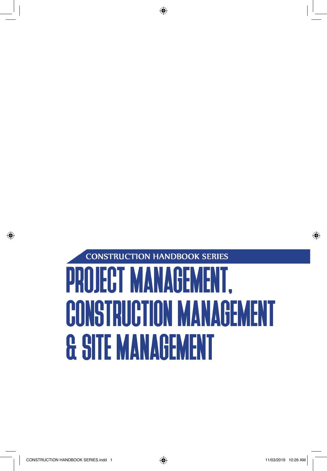## **CONSTRUCTION HANDBOOK SERIES** PROJECT MANAGEMENT, **CONSTRUCTION MANAGEMENT & SITE MANAGEMENT**

⊕

◈

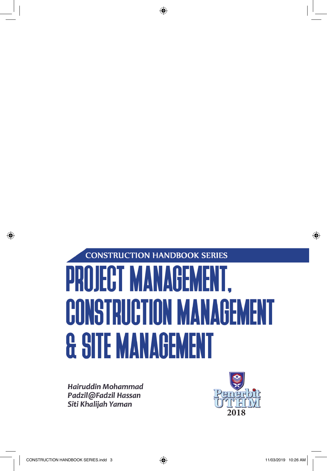## **CONSTRUCTION HANDBOOK SERIES PROJECT MANAGE** ME **CONSTRUCTION MANAGEMEI & SITE MANAGEMENT**

⊕

Hairuddin Mohammad Padzil@Fadzil Hassan Siti Khalijah Yaman



◈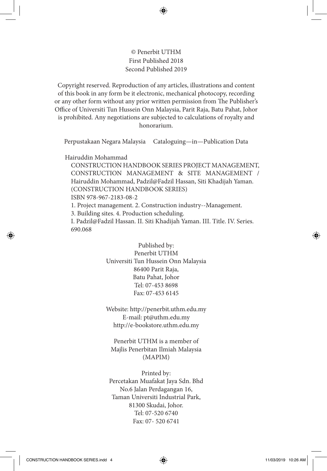## © Penerbit UTHM First Published 2018 Second Published 2019

Copyright reserved. Reproduction of any articles, illustrations and content of this book in any form be it electronic, mechanical photocopy, recording or any other form without any prior written permission from The Publisher's Office of Universiti Tun Hussein Onn Malaysia, Parit Raja, Batu Pahat, Johor is prohibited. Any negotiations are subjected to calculations of royalty and honorarium.

Perpustakaan Negara Malaysia Cataloguing—in—Publication Data

Hairuddin Mohammad

CONSTRUCTION HANDBOOK SERIES PROJECT MANAGEMENT, CONSTRUCTION MANAGEMENT & SITE MANAGEMENT / Hairuddin Mohammad, Padzil@Fadzil Hassan, Siti Khadijah Yaman. (CONSTRUCTION HANDBOOK SERIES)

ISBN 978-967-2183-08-2

1. Project management. 2. Construction industry--Management.

3. Building sites. 4. Production scheduling.

I. Padzil@Fadzil Hassan. II. Siti Khadijah Yaman. III. Title. IV. Series. 690.068

> Published by: Penerbit UTHM Universiti Tun Hussein Onn Malaysia 86400 Parit Raja, Batu Pahat, Johor Tel: 07-453 8698 Fax: 07-453 6145

> Website: http://penerbit.uthm.edu.my E-mail: pt@uthm.edu.my http://e-bookstore.uthm.edu.my

Penerbit UTHM is a member of Majlis Penerbitan Ilmiah Malaysia (MAPIM)

Printed by: Percetakan Muafakat Jaya Sdn. Bhd No.6 Jalan Perdagangan 16, Taman Universiti Industrial Park, 81300 Skudai, Johor. Tel: 07-520 6740 Fax: 07- 520 6741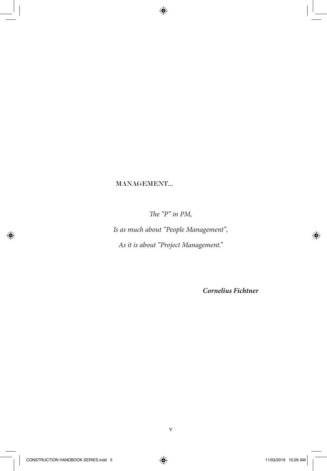MANAGEMENT…

*The "P" in PM,*

 $\bigoplus$ 

*Is as much about "People Management", As it is about "Project Management."*

*Cornelius Fichtner*

⊕